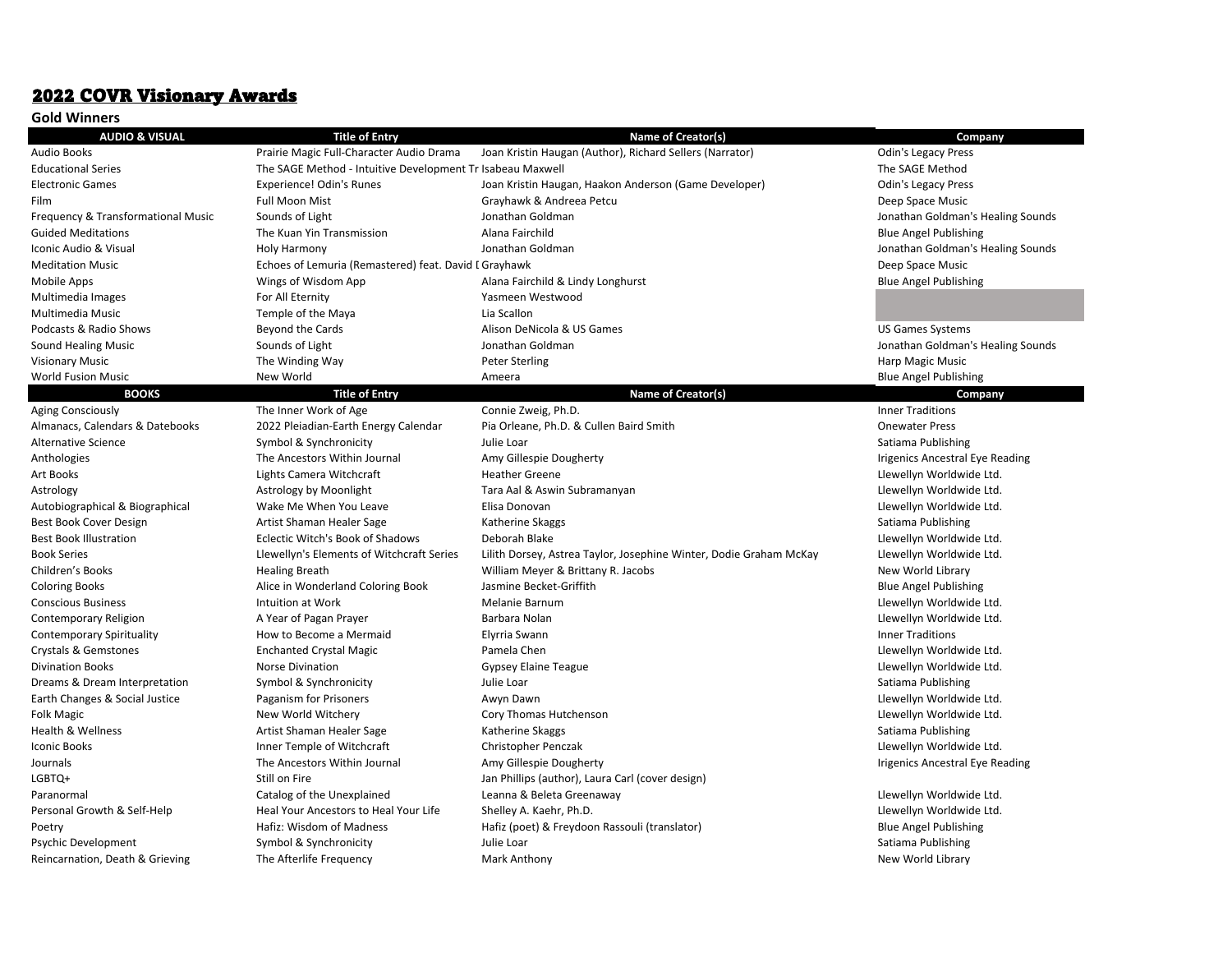## 2022 COVR Visionary Awards

|  | Gold Winners |
|--|--------------|
|--|--------------|

| <b>AUDIO &amp; VISUAL</b>          | <b>Title of Entry</b>                                      | <b>Name of Creator(s)</b>                                          | Company                           |
|------------------------------------|------------------------------------------------------------|--------------------------------------------------------------------|-----------------------------------|
| <b>Audio Books</b>                 | Prairie Magic Full-Character Audio Drama                   | Joan Kristin Haugan (Author), Richard Sellers (Narrator)           | <b>Odin's Legacy Press</b>        |
| <b>Educational Series</b>          | The SAGE Method - Intuitive Development Tr Isabeau Maxwell |                                                                    | The SAGE Method                   |
| <b>Electronic Games</b>            | Experience! Odin's Runes                                   | Joan Kristin Haugan, Haakon Anderson (Game Developer)              | <b>Odin's Legacy Press</b>        |
| Film                               | <b>Full Moon Mist</b>                                      | Grayhawk & Andreea Petcu                                           | Deep Space Music                  |
| Frequency & Transformational Music | Sounds of Light                                            | Jonathan Goldman                                                   | Jonathan Goldman's Healing Sounds |
| <b>Guided Meditations</b>          | The Kuan Yin Transmission                                  | Alana Fairchild                                                    | <b>Blue Angel Publishing</b>      |
| Iconic Audio & Visual              | Holy Harmony                                               | Jonathan Goldman                                                   | Jonathan Goldman's Healing Sounds |
| <b>Meditation Music</b>            | Echoes of Lemuria (Remastered) feat. David I Grayhawk      |                                                                    | Deep Space Music                  |
| Mobile Apps                        | Wings of Wisdom App                                        | Alana Fairchild & Lindy Longhurst                                  | <b>Blue Angel Publishing</b>      |
| Multimedia Images                  | For All Eternity                                           | Yasmeen Westwood                                                   |                                   |
| Multimedia Music                   | Temple of the Maya                                         | Lia Scallon                                                        |                                   |
| Podcasts & Radio Shows             | Beyond the Cards                                           | Alison DeNicola & US Games                                         | <b>US Games Systems</b>           |
| <b>Sound Healing Music</b>         | Sounds of Light                                            | Jonathan Goldman                                                   | Jonathan Goldman's Healing Sounds |
| <b>Visionary Music</b>             | The Winding Way                                            | <b>Peter Sterling</b>                                              | Harp Magic Music                  |
| <b>World Fusion Music</b>          | New World                                                  | Ameera                                                             | <b>Blue Angel Publishing</b>      |
| <b>BOOKS</b>                       | <b>Title of Entry</b>                                      | <b>Name of Creator(s)</b>                                          | Company                           |
| Aging Consciously                  | The Inner Work of Age                                      | Connie Zweig, Ph.D.                                                | <b>Inner Traditions</b>           |
| Almanacs, Calendars & Datebooks    | 2022 Pleiadian-Earth Energy Calendar                       | Pia Orleane, Ph.D. & Cullen Baird Smith                            | <b>Onewater Press</b>             |
| Alternative Science                | Symbol & Synchronicity                                     | Julie Loar                                                         | Satiama Publishing                |
| Anthologies                        | The Ancestors Within Journal                               | Amy Gillespie Dougherty                                            | Irigenics Ancestral Eye Reading   |
| Art Books                          | Lights Camera Witchcraft                                   | <b>Heather Greene</b>                                              | Llewellyn Worldwide Ltd.          |
| Astrology                          | Astrology by Moonlight                                     | Tara Aal & Aswin Subramanyan                                       | Llewellyn Worldwide Ltd.          |
| Autobiographical & Biographical    | Wake Me When You Leave                                     | Elisa Donovan                                                      | Llewellyn Worldwide Ltd.          |
| Best Book Cover Design             | Artist Shaman Healer Sage                                  | Katherine Skaggs                                                   | Satiama Publishing                |
| <b>Best Book Illustration</b>      | Eclectic Witch's Book of Shadows                           | Deborah Blake                                                      | Llewellyn Worldwide Ltd.          |
| <b>Book Series</b>                 | Llewellyn's Elements of Witchcraft Series                  | Lilith Dorsey, Astrea Taylor, Josephine Winter, Dodie Graham McKay | Llewellyn Worldwide Ltd.          |
| Children's Books                   | <b>Healing Breath</b>                                      | William Meyer & Brittany R. Jacobs                                 | New World Library                 |
| <b>Coloring Books</b>              | Alice in Wonderland Coloring Book                          | Jasmine Becket-Griffith                                            | <b>Blue Angel Publishing</b>      |
| <b>Conscious Business</b>          | Intuition at Work                                          | Melanie Barnum                                                     | Llewellyn Worldwide Ltd.          |
| Contemporary Religion              | A Year of Pagan Prayer                                     | Barbara Nolan                                                      | Llewellyn Worldwide Ltd.          |
| Contemporary Spirituality          | How to Become a Mermaid                                    | Elyrria Swann                                                      | <b>Inner Traditions</b>           |
| Crystals & Gemstones               | <b>Enchanted Crystal Magic</b>                             | Pamela Chen                                                        | Llewellyn Worldwide Ltd.          |
| <b>Divination Books</b>            | <b>Norse Divination</b>                                    | Gypsey Elaine Teague                                               | Llewellyn Worldwide Ltd.          |
| Dreams & Dream Interpretation      | Symbol & Synchronicity                                     | Julie Loar                                                         | Satiama Publishing                |
| Earth Changes & Social Justice     | Paganism for Prisoners                                     | Awyn Dawn                                                          | Llewellyn Worldwide Ltd.          |
| Folk Magic                         | New World Witchery                                         | Cory Thomas Hutchenson                                             | Llewellyn Worldwide Ltd.          |
| <b>Health &amp; Wellness</b>       | Artist Shaman Healer Sage                                  | Katherine Skaggs                                                   | Satiama Publishing                |
| Iconic Books                       | Inner Temple of Witchcraft                                 | Christopher Penczak                                                | Llewellyn Worldwide Ltd.          |
| Journals                           | The Ancestors Within Journal                               | Amy Gillespie Dougherty                                            | Irigenics Ancestral Eye Reading   |
| LGBTQ+                             | Still on Fire                                              | Jan Phillips (author), Laura Carl (cover design)                   |                                   |
| Paranormal                         | Catalog of the Unexplained                                 | Leanna & Beleta Greenaway                                          | Llewellyn Worldwide Ltd.          |
| Personal Growth & Self-Help        | Heal Your Ancestors to Heal Your Life                      | Shelley A. Kaehr, Ph.D.                                            | Llewellyn Worldwide Ltd.          |
| Poetry                             | Hafiz: Wisdom of Madness                                   | Hafiz (poet) & Freydoon Rassouli (translator)                      | <b>Blue Angel Publishing</b>      |
| Psychic Development                | Symbol & Synchronicity                                     | Julie Loar                                                         | Satiama Publishing                |
| Reincarnation, Death & Grieving    | The Afterlife Frequency                                    | Mark Anthony                                                       | New World Library                 |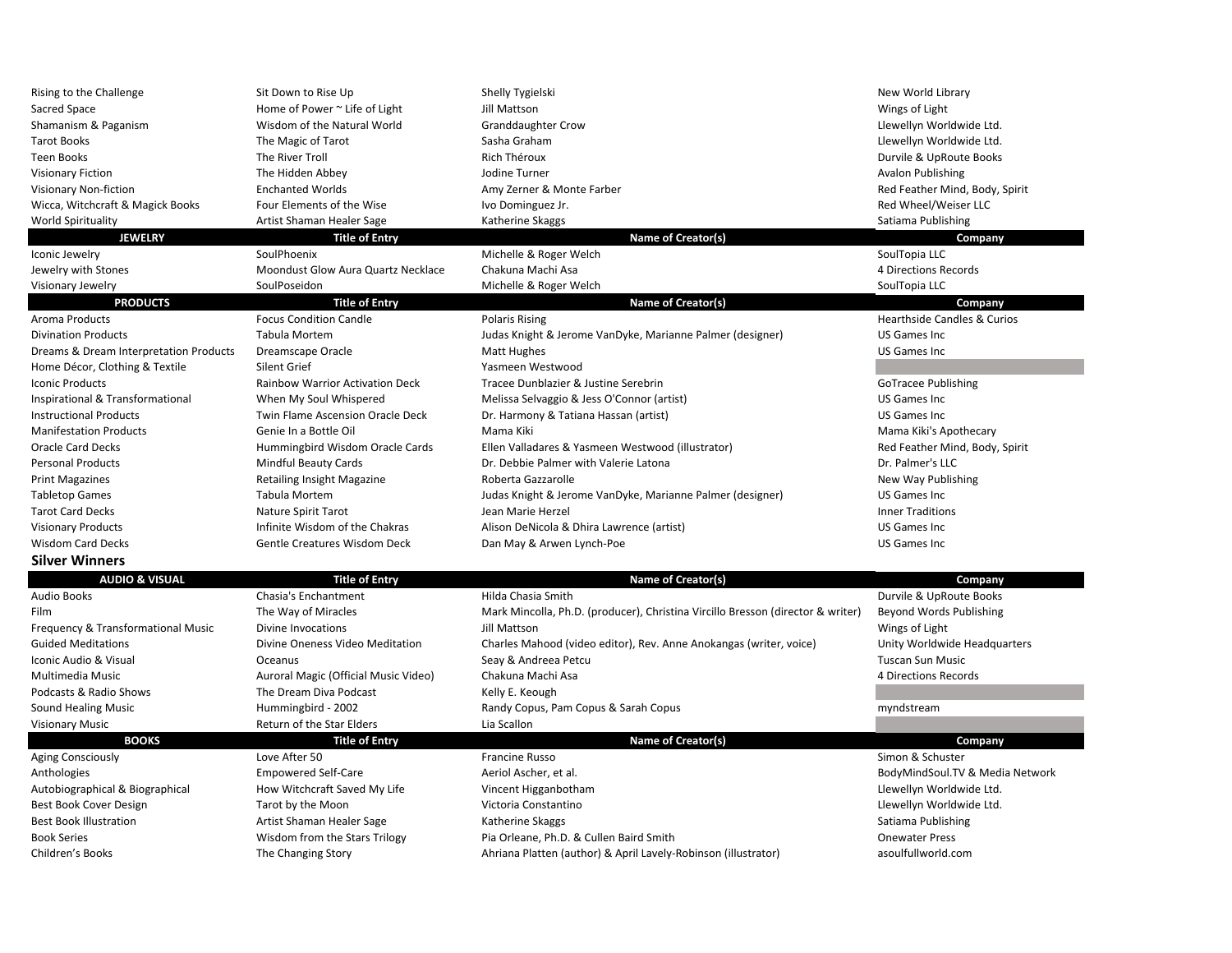| Rising to the Challenge                | Sit Down to Rise Up                    | Shelly Tygielski                                                                | New World Library                      |
|----------------------------------------|----------------------------------------|---------------------------------------------------------------------------------|----------------------------------------|
| Sacred Space                           | Home of Power ~ Life of Light          | Jill Mattson                                                                    | Wings of Light                         |
| Shamanism & Paganism                   | Wisdom of the Natural World            | Granddaughter Crow                                                              | Llewellyn Worldwide Ltd.               |
| <b>Tarot Books</b>                     | The Magic of Tarot                     | Sasha Graham                                                                    | Llewellyn Worldwide Ltd.               |
| <b>Teen Books</b>                      | The River Troll                        | Rich Théroux                                                                    | Durvile & UpRoute Books                |
| <b>Visionary Fiction</b>               | The Hidden Abbey                       | Jodine Turner                                                                   | <b>Avalon Publishing</b>               |
| Visionary Non-fiction                  | <b>Enchanted Worlds</b>                | Amy Zerner & Monte Farber                                                       | Red Feather Mind, Body, Spirit         |
| Wicca, Witchcraft & Magick Books       | Four Elements of the Wise              | Ivo Dominguez Jr.                                                               | Red Wheel/Weiser LLC                   |
| World Spirituality                     | Artist Shaman Healer Sage              | Katherine Skaggs                                                                | Satiama Publishing                     |
| <b>JEWELRY</b>                         | <b>Title of Entry</b>                  | Name of Creator(s)                                                              | Company                                |
| Iconic Jewelry                         | SoulPhoenix                            | Michelle & Roger Welch                                                          | SoulTopia LLC                          |
| Jewelry with Stones                    | Moondust Glow Aura Quartz Necklace     | Chakuna Machi Asa                                                               | 4 Directions Records                   |
| Visionary Jewelry                      | SoulPoseidon                           | Michelle & Roger Welch                                                          | SoulTopia LLC                          |
| <b>PRODUCTS</b>                        | <b>Title of Entry</b>                  | Name of Creator(s)                                                              | Company                                |
| Aroma Products                         | <b>Focus Condition Candle</b>          | <b>Polaris Rising</b>                                                           | <b>Hearthside Candles &amp; Curios</b> |
| <b>Divination Products</b>             | Tabula Mortem                          | Judas Knight & Jerome VanDyke, Marianne Palmer (designer)                       | <b>US Games Inc</b>                    |
| Dreams & Dream Interpretation Products | Dreamscape Oracle                      | <b>Matt Hughes</b>                                                              | <b>US Games Inc.</b>                   |
| Home Décor, Clothing & Textile         | Silent Grief                           | Yasmeen Westwood                                                                |                                        |
| <b>Iconic Products</b>                 | <b>Rainbow Warrior Activation Deck</b> | Tracee Dunblazier & Justine Serebrin                                            | GoTracee Publishing                    |
| Inspirational & Transformational       | When My Soul Whispered                 | Melissa Selvaggio & Jess O'Connor (artist)                                      | US Games Inc                           |
| <b>Instructional Products</b>          | Twin Flame Ascension Oracle Deck       | Dr. Harmony & Tatiana Hassan (artist)                                           | US Games Inc                           |
| <b>Manifestation Products</b>          | Genie In a Bottle Oil                  | Mama Kiki                                                                       | Mama Kiki's Apothecary                 |
| <b>Oracle Card Decks</b>               | Hummingbird Wisdom Oracle Cards        | Ellen Valladares & Yasmeen Westwood (illustrator)                               | Red Feather Mind, Body, Spirit         |
| <b>Personal Products</b>               | <b>Mindful Beauty Cards</b>            | Dr. Debbie Palmer with Valerie Latona                                           | Dr. Palmer's LLC                       |
| <b>Print Magazines</b>                 | Retailing Insight Magazine             | Roberta Gazzarolle                                                              | New Way Publishing                     |
| <b>Tabletop Games</b>                  | Tabula Mortem                          | Judas Knight & Jerome VanDyke, Marianne Palmer (designer)                       | US Games Inc                           |
| <b>Tarot Card Decks</b>                | Nature Spirit Tarot                    | Jean Marie Herzel                                                               | <b>Inner Traditions</b>                |
| <b>Visionary Products</b>              | Infinite Wisdom of the Chakras         | Alison DeNicola & Dhira Lawrence (artist)                                       | <b>US Games Inc</b>                    |
| <b>Wisdom Card Decks</b>               | <b>Gentle Creatures Wisdom Deck</b>    | Dan May & Arwen Lynch-Poe                                                       | <b>US Games Inc.</b>                   |
| <b>Silver Winners</b>                  |                                        |                                                                                 |                                        |
| <b>AUDIO &amp; VISUAL</b>              | <b>Title of Entry</b>                  | Name of Creator(s)                                                              | Company                                |
| <b>Audio Books</b>                     | Chasia's Enchantment                   | Hilda Chasia Smith                                                              | Durvile & UpRoute Books                |
| Film                                   | The Way of Miracles                    | Mark Mincolla, Ph.D. (producer), Christina Vircillo Bresson (director & writer) | Beyond Words Publishing                |
| Frequency & Transformational Music     | Divine Invocations                     | Jill Mattson                                                                    | Wings of Light                         |
| <b>Guided Meditations</b>              | Divine Oneness Video Meditation        | Charles Mahood (video editor), Rev. Anne Anokangas (writer, voice)              | Unity Worldwide Headquarters           |
| Iconic Audio & Visual                  | Oceanus                                | Seay & Andreea Petcu                                                            | <b>Tuscan Sun Music</b>                |
| Multimedia Music                       | Auroral Magic (Official Music Video)   | Chakuna Machi Asa                                                               | 4 Directions Records                   |
| Podcasts & Radio Shows                 | The Dream Diva Podcast                 |                                                                                 |                                        |
|                                        |                                        | Kelly E. Keough                                                                 |                                        |
| Sound Healing Music                    | Hummingbird - 2002                     | Randy Copus, Pam Copus & Sarah Copus                                            | myndstream                             |
| <b>Visionary Music</b>                 | Return of the Star Elders              | Lia Scallon                                                                     |                                        |
| <b>BOOKS</b>                           | <b>Title of Entry</b><br>Love After 50 | Name of Creator(s)<br>Francine Russo                                            | Company<br>Simon & Schuster            |
| <b>Aging Consciously</b>               |                                        |                                                                                 |                                        |
| Anthologies                            | <b>Empowered Self-Care</b>             | Aeriol Ascher, et al.                                                           | BodyMindSoul.TV & Media Network        |
| Autobiographical & Biographical        | How Witchcraft Saved My Life           | Vincent Higganbotham                                                            | Llewellyn Worldwide Ltd.               |
| Best Book Cover Design                 | Tarot by the Moon                      | Victoria Constantino                                                            | Llewellyn Worldwide Ltd.               |
| <b>Best Book Illustration</b>          | Artist Shaman Healer Sage              | Katherine Skaggs                                                                | Satiama Publishing                     |
| <b>Book Series</b>                     | Wisdom from the Stars Trilogy          | Pia Orleane, Ph.D. & Cullen Baird Smith                                         | <b>Onewater Press</b>                  |
| Children's Books                       | The Changing Story                     | Ahriana Platten (author) & April Lavely-Robinson (illustrator)                  | asoulfullworld.com                     |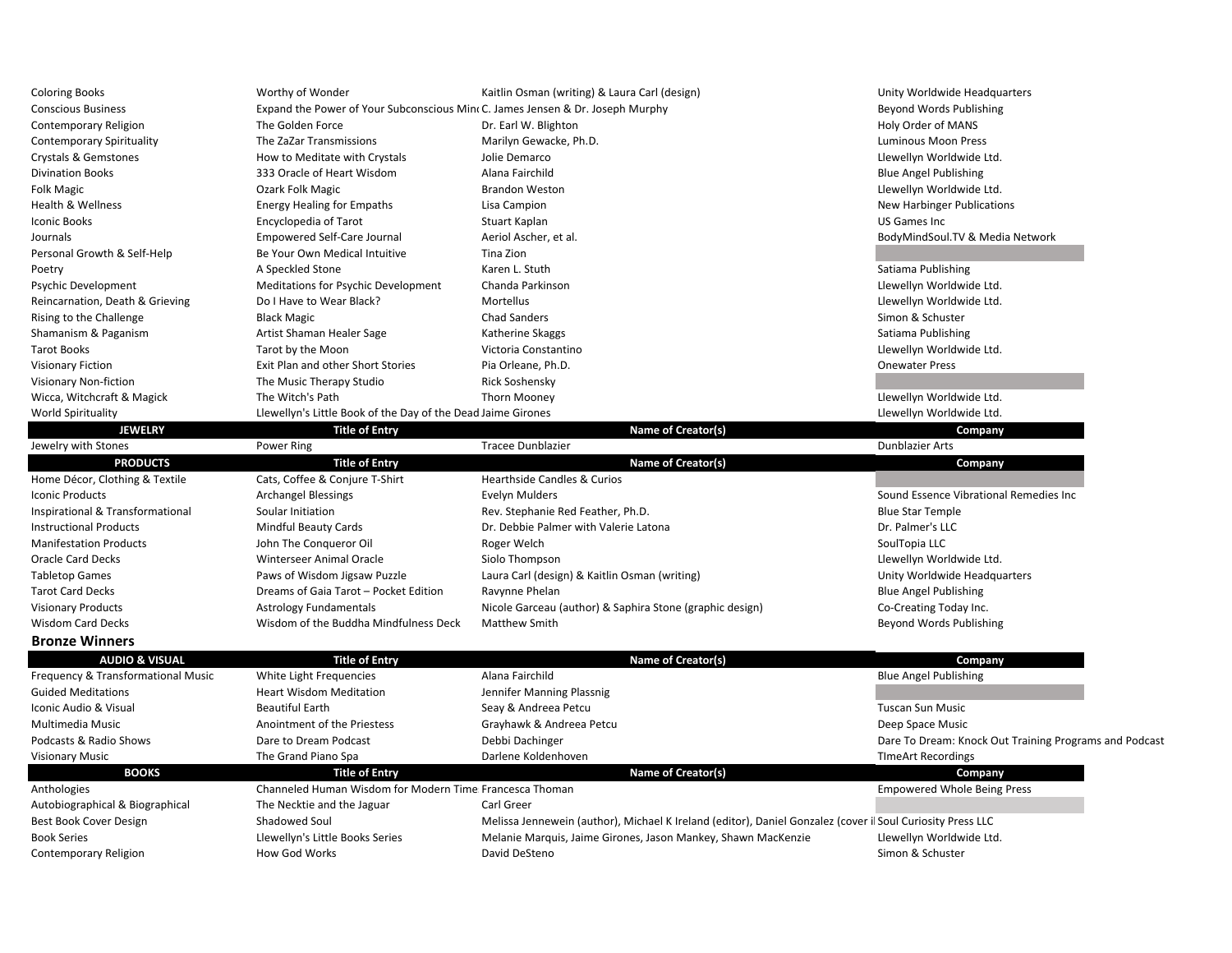| <b>Coloring Books</b>            | Worthy of Wonder                                                              | Kaitlin Osman (writing) & Laura Carl (design) |                    | Unity Worldwide Headquarters    |
|----------------------------------|-------------------------------------------------------------------------------|-----------------------------------------------|--------------------|---------------------------------|
| <b>Conscious Business</b>        | Expand the Power of Your Subconscious Min(C. James Jensen & Dr. Joseph Murphy |                                               |                    | Beyond Words Publishing         |
| Contemporary Religion            | The Golden Force                                                              | Dr. Earl W. Blighton                          |                    | Holy Order of MANS              |
| <b>Contemporary Spirituality</b> | The ZaZar Transmissions                                                       | Marilyn Gewacke, Ph.D.                        |                    | <b>Luminous Moon Press</b>      |
| Crystals & Gemstones             | How to Meditate with Crystals                                                 | Jolie Demarco                                 |                    | Llewellyn Worldwide Ltd.        |
| <b>Divination Books</b>          | 333 Oracle of Heart Wisdom                                                    | Alana Fairchild                               |                    | <b>Blue Angel Publishing</b>    |
| Folk Magic                       | Ozark Folk Magic                                                              | <b>Brandon Weston</b>                         |                    | Llewellyn Worldwide Ltd.        |
| Health & Wellness                | <b>Energy Healing for Empaths</b>                                             | Lisa Campion                                  |                    | New Harbinger Publications      |
| Iconic Books                     | Encyclopedia of Tarot                                                         | Stuart Kaplan                                 |                    | US Games Inc                    |
| Journals                         | Empowered Self-Care Journal                                                   | Aeriol Ascher, et al.                         |                    | BodyMindSoul.TV & Media Network |
| Personal Growth & Self-Help      | Be Your Own Medical Intuitive                                                 | Tina Zion                                     |                    |                                 |
| Poetry                           | A Speckled Stone                                                              | Karen L. Stuth                                |                    | Satiama Publishing              |
| Psychic Development              | Meditations for Psychic Development                                           | Chanda Parkinson                              |                    | Llewellyn Worldwide Ltd.        |
| Reincarnation, Death & Grieving  | Do I Have to Wear Black?                                                      | Mortellus                                     |                    | Llewellyn Worldwide Ltd.        |
| Rising to the Challenge          | <b>Black Magic</b>                                                            | <b>Chad Sanders</b>                           |                    | Simon & Schuster                |
| Shamanism & Paganism             | Artist Shaman Healer Sage                                                     | Katherine Skaggs                              |                    | Satiama Publishing              |
| <b>Tarot Books</b>               | Tarot by the Moon                                                             | Victoria Constantino                          |                    | Llewellyn Worldwide Ltd.        |
| <b>Visionary Fiction</b>         | Exit Plan and other Short Stories                                             | Pia Orleane, Ph.D.                            |                    | <b>Onewater Press</b>           |
| Visionary Non-fiction            | The Music Therapy Studio                                                      | Rick Soshensky                                |                    |                                 |
| Wicca, Witchcraft & Magick       | The Witch's Path                                                              | Thorn Mooney                                  |                    | Llewellyn Worldwide Ltd.        |
| World Spirituality               | Llewellyn's Little Book of the Day of the Dead Jaime Girones                  |                                               |                    | Llewellyn Worldwide Ltd.        |
| <b>JEWELRY</b>                   | <b>Title of Entry</b>                                                         |                                               | Name of Creator(s) | Company                         |

|                                  | ----------                            |                                                          | ------                                 |
|----------------------------------|---------------------------------------|----------------------------------------------------------|----------------------------------------|
| Jewelry with Stones              | Power Ring                            | Tracee Dunblazier                                        | <b>Dunblazier Arts</b>                 |
| <b>PRODUCTS</b>                  | <b>Title of Entry</b>                 | Name of Creator(s)                                       | Company                                |
| Home Décor, Clothing & Textile   | Cats, Coffee & Conjure T-Shirt        | <b>Hearthside Candles &amp; Curios</b>                   |                                        |
| <b>Iconic Products</b>           | <b>Archangel Blessings</b>            | Evelyn Mulders                                           | Sound Essence Vibrational Remedies Inc |
| Inspirational & Transformational | Soular Initiation                     | Rev. Stephanie Red Feather, Ph.D.                        | <b>Blue Star Temple</b>                |
| <b>Instructional Products</b>    | Mindful Beauty Cards                  | Dr. Debbie Palmer with Valerie Latona                    | Dr. Palmer's LLC                       |
| <b>Manifestation Products</b>    | John The Conqueror Oil                | Roger Welch                                              | SoulTopia LLC                          |
| <b>Oracle Card Decks</b>         | Winterseer Animal Oracle              | Siolo Thompson                                           | Llewellyn Worldwide Ltd.               |
| <b>Tabletop Games</b>            | Paws of Wisdom Jigsaw Puzzle          | Laura Carl (design) & Kaitlin Osman (writing)            | Unity Worldwide Headquarters           |
| <b>Tarot Card Decks</b>          | Dreams of Gaia Tarot - Pocket Edition | Ravynne Phelan                                           | <b>Blue Angel Publishing</b>           |
| <b>Visionary Products</b>        | <b>Astrology Fundamentals</b>         | Nicole Garceau (author) & Saphira Stone (graphic design) | Co-Creating Today Inc.                 |
| <b>Wisdom Card Decks</b>         | Wisdom of the Buddha Mindfulness Deck | <b>Matthew Smith</b>                                     | Beyond Words Publishing                |
|                                  |                                       |                                                          |                                        |

**Bronze Winners**

| <b>AUDIO &amp; VISUAL</b>          | <b>Title of Entry</b>                                   | Name of Creator(s)                                                                                         | <b>Company</b>                                         |
|------------------------------------|---------------------------------------------------------|------------------------------------------------------------------------------------------------------------|--------------------------------------------------------|
| Frequency & Transformational Music | White Light Frequencies                                 | Alana Fairchild                                                                                            | <b>Blue Angel Publishing</b>                           |
| <b>Guided Meditations</b>          | <b>Heart Wisdom Meditation</b>                          | Jennifer Manning Plassnig                                                                                  |                                                        |
| Iconic Audio & Visual              | <b>Beautiful Earth</b>                                  | Seay & Andreea Petcu                                                                                       | Tuscan Sun Music                                       |
| Multimedia Music                   | Anointment of the Priestess                             | Grayhawk & Andreea Petcu                                                                                   | Deep Space Music                                       |
| Podcasts & Radio Shows             | Dare to Dream Podcast                                   | Debbi Dachinger                                                                                            | Dare To Dream: Knock Out Training Programs and Podcast |
| <b>Visionary Music</b>             | The Grand Piano Spa                                     | Darlene Koldenhoven                                                                                        | <b>TImeArt Recordings</b>                              |
| <b>BOOKS</b>                       | <b>Title of Entry</b>                                   | Name of Creator(s)                                                                                         | <b>Company</b>                                         |
| Anthologies                        | Channeled Human Wisdom for Modern Time Francesca Thoman |                                                                                                            | <b>Empowered Whole Being Press</b>                     |
| Autobiographical & Biographical    | The Necktie and the Jaguar                              | Carl Greer                                                                                                 |                                                        |
| Best Book Cover Design             | Shadowed Soul                                           | Melissa Jennewein (author), Michael K Ireland (editor), Daniel Gonzalez (cover il Soul Curiosity Press LLC |                                                        |
| <b>Book Series</b>                 | Llewellyn's Little Books Series                         | Melanie Marquis, Jaime Girones, Jason Mankey, Shawn MacKenzie                                              | Llewellyn Worldwide Ltd.                               |
| Contemporary Religion              | How God Works                                           | David DeSteno                                                                                              | Simon & Schuster                                       |